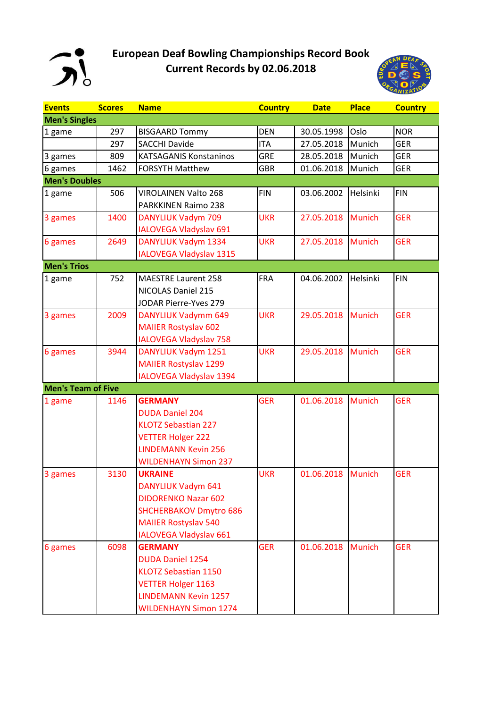

## **European Deaf Bowling Championships Record Book Current Records by 02.06.2018**



| <b>Events</b>             | <b>Scores</b> | <b>Name</b>                   | <b>Country</b> | <b>Date</b> | <b>Place</b>  | <b>Country</b> |
|---------------------------|---------------|-------------------------------|----------------|-------------|---------------|----------------|
| <b>Men's Singles</b>      |               |                               |                |             |               |                |
| 1 game                    | 297           | <b>BISGAARD Tommy</b>         | <b>DEN</b>     | 30.05.1998  | Oslo          | <b>NOR</b>     |
|                           | 297           | <b>SACCHI Davide</b>          | <b>ITA</b>     | 27.05.2018  | Munich        | <b>GER</b>     |
| 3 games                   | 809           | <b>KATSAGANIS Konstaninos</b> | <b>GRE</b>     | 28.05.2018  | Munich        | <b>GER</b>     |
| 6 games                   | 1462          | <b>FORSYTH Matthew</b>        | <b>GBR</b>     | 01.06.2018  | Munich        | <b>GER</b>     |
| <b>Men's Doubles</b>      |               |                               |                |             |               |                |
| 1 game                    | 506           | <b>VIROLAINEN Valto 268</b>   | <b>FIN</b>     | 03.06.2002  | Helsinki      | <b>FIN</b>     |
|                           |               | PARKKINEN Raimo 238           |                |             |               |                |
| 3 games                   | 1400          | <b>DANYLIUK Vadym 709</b>     | <b>UKR</b>     | 27.05.2018  | <b>Munich</b> | <b>GER</b>     |
|                           |               | <b>IALOVEGA Vladyslav 691</b> |                |             |               |                |
| 6 games                   | 2649          | DANYLIUK Vadym 1334           | <b>UKR</b>     | 27.05.2018  | <b>Munich</b> | <b>GER</b>     |
|                           |               | IALOVEGA Vladyslav 1315       |                |             |               |                |
| <b>Men's Trios</b>        |               |                               |                |             |               |                |
| 1 game                    | 752           | <b>MAESTRE Laurent 258</b>    | <b>FRA</b>     | 04.06.2002  | Helsinki      | <b>FIN</b>     |
|                           |               | <b>NICOLAS Daniel 215</b>     |                |             |               |                |
|                           |               | <b>JODAR Pierre-Yves 279</b>  |                |             |               |                |
| 3 games                   | 2009          | <b>DANYLIUK Vadymm 649</b>    | <b>UKR</b>     | 29.05.2018  | <b>Munich</b> | <b>GER</b>     |
|                           |               | <b>MAIIER Rostyslav 602</b>   |                |             |               |                |
|                           |               | <b>IALOVEGA Vladyslav 758</b> |                |             |               |                |
| 6 games                   | 3944          | <b>DANYLIUK Vadym 1251</b>    | <b>UKR</b>     | 29.05.2018  | <b>Munich</b> | <b>GER</b>     |
|                           |               | <b>MAIIER Rostyslav 1299</b>  |                |             |               |                |
|                           |               | IALOVEGA Vladyslav 1394       |                |             |               |                |
| <b>Men's Team of Five</b> |               |                               |                |             |               |                |
| 1 game                    | 1146          | <b>GERMANY</b>                | <b>GER</b>     | 01.06.2018  | <b>Munich</b> | <b>GER</b>     |
|                           |               | <b>DUDA Daniel 204</b>        |                |             |               |                |
|                           |               | <b>KLOTZ Sebastian 227</b>    |                |             |               |                |
|                           |               | <b>VETTER Holger 222</b>      |                |             |               |                |
|                           |               | <b>LINDEMANN Kevin 256</b>    |                |             |               |                |
|                           |               | <b>WILDENHAYN Simon 237</b>   |                |             |               |                |
| 3 games                   | 3130          | <b>UKRAINE</b>                | <b>UKR</b>     | 01.06.2018  | <b>Munich</b> | <b>GER</b>     |
|                           |               | <b>DANYLIUK Vadym 641</b>     |                |             |               |                |
|                           |               | <b>DIDORENKO Nazar 602</b>    |                |             |               |                |
|                           |               | <b>SHCHERBAKOV Dmytro 686</b> |                |             |               |                |
|                           |               | <b>MAIIER Rostyslav 540</b>   |                |             |               |                |
|                           |               | IALOVEGA Vladyslav 661        |                |             |               |                |
| 6 games                   | 6098          | <b>GERMANY</b>                | <b>GER</b>     | 01.06.2018  | <b>Munich</b> | <b>GER</b>     |
|                           |               | <b>DUDA Daniel 1254</b>       |                |             |               |                |
|                           |               | <b>KLOTZ Sebastian 1150</b>   |                |             |               |                |
|                           |               | <b>VETTER Holger 1163</b>     |                |             |               |                |
|                           |               | <b>LINDEMANN Kevin 1257</b>   |                |             |               |                |
|                           |               | <b>WILDENHAYN Simon 1274</b>  |                |             |               |                |